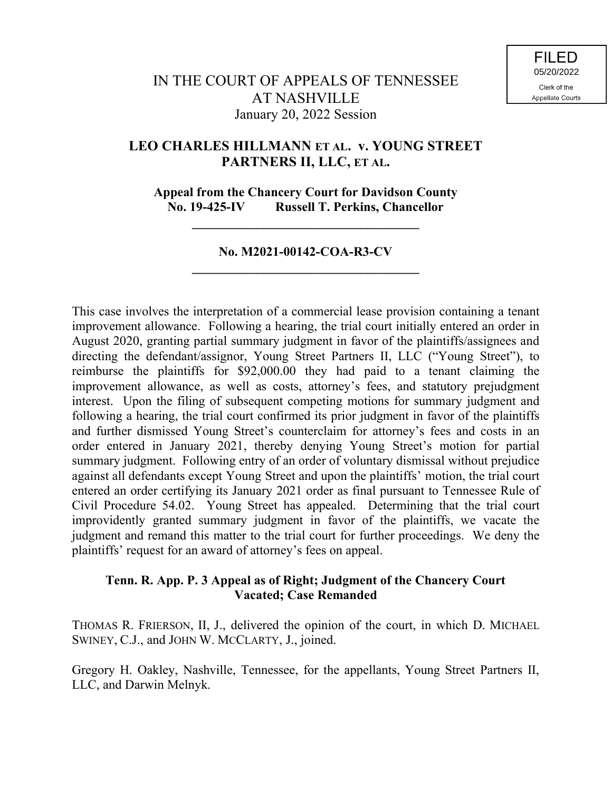# **LEO CHARLES HILLMANN ET AL. v. YOUNG STREET PARTNERS II, LLC, ET AL.**

**Appeal from the Chancery Court for Davidson County No. 19-425-IV Russell T. Perkins, Chancellor**

## **No. M2021-00142-COA-R3-CV \_\_\_\_\_\_\_\_\_\_\_\_\_\_\_\_\_\_\_\_\_\_\_\_\_\_\_\_\_\_\_\_\_\_\_**

**\_\_\_\_\_\_\_\_\_\_\_\_\_\_\_\_\_\_\_\_\_\_\_\_\_\_\_\_\_\_\_\_\_\_\_**

This case involves the interpretation of a commercial lease provision containing a tenant improvement allowance. Following a hearing, the trial court initially entered an order in August 2020, granting partial summary judgment in favor of the plaintiffs/assignees and directing the defendant/assignor, Young Street Partners II, LLC ("Young Street"), to reimburse the plaintiffs for \$92,000.00 they had paid to a tenant claiming the improvement allowance, as well as costs, attorney's fees, and statutory prejudgment interest. Upon the filing of subsequent competing motions for summary judgment and following a hearing, the trial court confirmed its prior judgment in favor of the plaintiffs and further dismissed Young Street's counterclaim for attorney's fees and costs in an order entered in January 2021, thereby denying Young Street's motion for partial summary judgment. Following entry of an order of voluntary dismissal without prejudice against all defendants except Young Street and upon the plaintiffs' motion, the trial court entered an order certifying its January 2021 order as final pursuant to Tennessee Rule of Civil Procedure 54.02. Young Street has appealed. Determining that the trial court improvidently granted summary judgment in favor of the plaintiffs, we vacate the judgment and remand this matter to the trial court for further proceedings. We deny the plaintiffs' request for an award of attorney's fees on appeal.

### **Tenn. R. App. P. 3 Appeal as of Right; Judgment of the Chancery Court Vacated; Case Remanded**

THOMAS R. FRIERSON, II, J., delivered the opinion of the court, in which D. MICHAEL SWINEY, C.J., and JOHN W. MCCLARTY, J., joined.

Gregory H. Oakley, Nashville, Tennessee, for the appellants, Young Street Partners II, LLC, and Darwin Melnyk.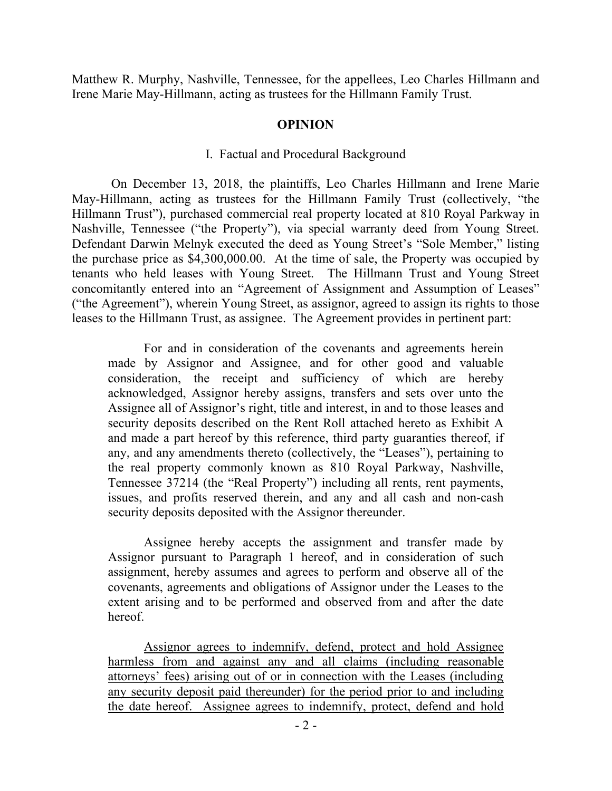Matthew R. Murphy, Nashville, Tennessee, for the appellees, Leo Charles Hillmann and Irene Marie May-Hillmann, acting as trustees for the Hillmann Family Trust.

### **OPINION**

## I. Factual and Procedural Background

On December 13, 2018, the plaintiffs, Leo Charles Hillmann and Irene Marie May-Hillmann, acting as trustees for the Hillmann Family Trust (collectively, "the Hillmann Trust"), purchased commercial real property located at 810 Royal Parkway in Nashville, Tennessee ("the Property"), via special warranty deed from Young Street. Defendant Darwin Melnyk executed the deed as Young Street's "Sole Member," listing the purchase price as \$4,300,000.00. At the time of sale, the Property was occupied by tenants who held leases with Young Street. The Hillmann Trust and Young Street concomitantly entered into an "Agreement of Assignment and Assumption of Leases" ("the Agreement"), wherein Young Street, as assignor, agreed to assign its rights to those leases to the Hillmann Trust, as assignee. The Agreement provides in pertinent part:

For and in consideration of the covenants and agreements herein made by Assignor and Assignee, and for other good and valuable consideration, the receipt and sufficiency of which are hereby acknowledged, Assignor hereby assigns, transfers and sets over unto the Assignee all of Assignor's right, title and interest, in and to those leases and security deposits described on the Rent Roll attached hereto as Exhibit A and made a part hereof by this reference, third party guaranties thereof, if any, and any amendments thereto (collectively, the "Leases"), pertaining to the real property commonly known as 810 Royal Parkway, Nashville, Tennessee 37214 (the "Real Property") including all rents, rent payments, issues, and profits reserved therein, and any and all cash and non-cash security deposits deposited with the Assignor thereunder.

Assignee hereby accepts the assignment and transfer made by Assignor pursuant to Paragraph 1 hereof, and in consideration of such assignment, hereby assumes and agrees to perform and observe all of the covenants, agreements and obligations of Assignor under the Leases to the extent arising and to be performed and observed from and after the date hereof.

Assignor agrees to indemnify, defend, protect and hold Assignee harmless from and against any and all claims (including reasonable attorneys' fees) arising out of or in connection with the Leases (including any security deposit paid thereunder) for the period prior to and including the date hereof. Assignee agrees to indemnify, protect, defend and hold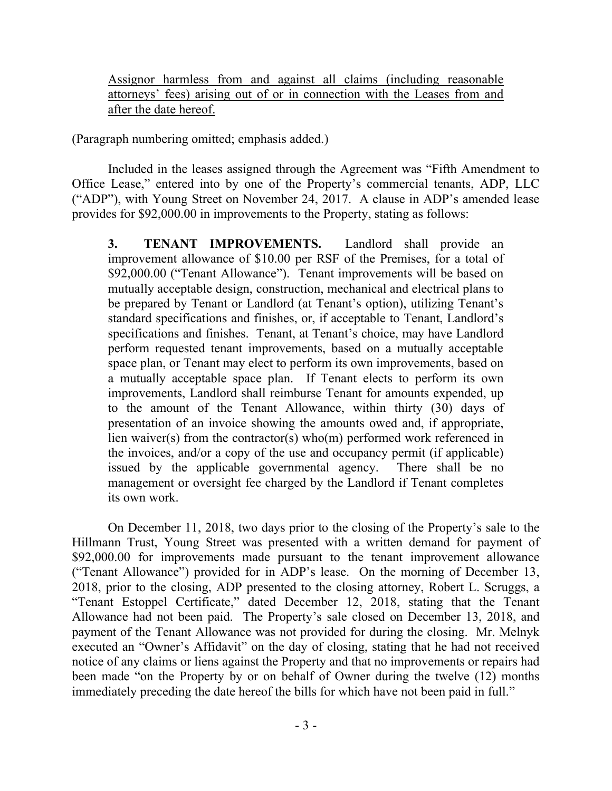Assignor harmless from and against all claims (including reasonable attorneys' fees) arising out of or in connection with the Leases from and after the date hereof.

(Paragraph numbering omitted; emphasis added.)

Included in the leases assigned through the Agreement was "Fifth Amendment to Office Lease," entered into by one of the Property's commercial tenants, ADP, LLC ("ADP"), with Young Street on November 24, 2017. A clause in ADP's amended lease provides for \$92,000.00 in improvements to the Property, stating as follows:

**3. TENANT IMPROVEMENTS.** Landlord shall provide an improvement allowance of \$10.00 per RSF of the Premises, for a total of \$92,000.00 ("Tenant Allowance"). Tenant improvements will be based on mutually acceptable design, construction, mechanical and electrical plans to be prepared by Tenant or Landlord (at Tenant's option), utilizing Tenant's standard specifications and finishes, or, if acceptable to Tenant, Landlord's specifications and finishes. Tenant, at Tenant's choice, may have Landlord perform requested tenant improvements, based on a mutually acceptable space plan, or Tenant may elect to perform its own improvements, based on a mutually acceptable space plan. If Tenant elects to perform its own improvements, Landlord shall reimburse Tenant for amounts expended, up to the amount of the Tenant Allowance, within thirty (30) days of presentation of an invoice showing the amounts owed and, if appropriate, lien waiver(s) from the contractor(s) who(m) performed work referenced in the invoices, and/or a copy of the use and occupancy permit (if applicable) issued by the applicable governmental agency. There shall be no management or oversight fee charged by the Landlord if Tenant completes its own work.

On December 11, 2018, two days prior to the closing of the Property's sale to the Hillmann Trust, Young Street was presented with a written demand for payment of \$92,000.00 for improvements made pursuant to the tenant improvement allowance ("Tenant Allowance") provided for in ADP's lease. On the morning of December 13, 2018, prior to the closing, ADP presented to the closing attorney, Robert L. Scruggs, a "Tenant Estoppel Certificate," dated December 12, 2018, stating that the Tenant Allowance had not been paid. The Property's sale closed on December 13, 2018, and payment of the Tenant Allowance was not provided for during the closing. Mr. Melnyk executed an "Owner's Affidavit" on the day of closing, stating that he had not received notice of any claims or liens against the Property and that no improvements or repairs had been made "on the Property by or on behalf of Owner during the twelve (12) months immediately preceding the date hereof the bills for which have not been paid in full."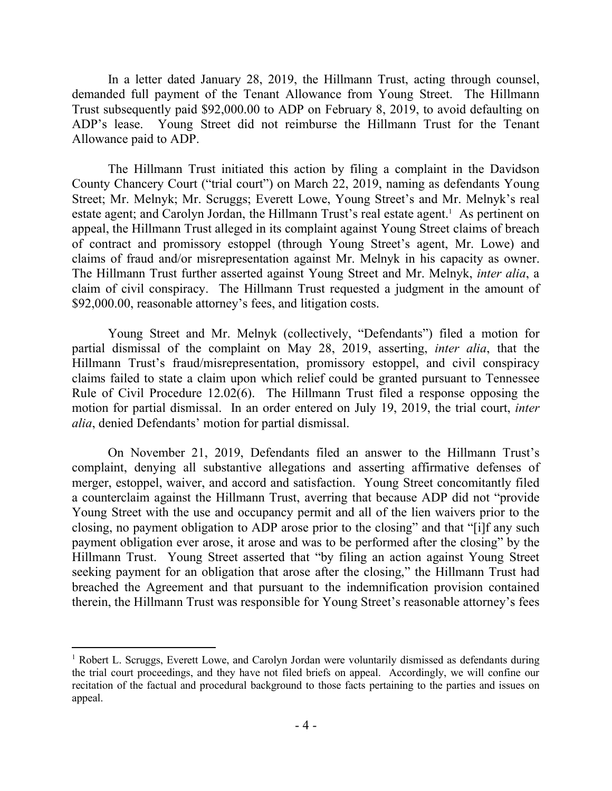In a letter dated January 28, 2019, the Hillmann Trust, acting through counsel, demanded full payment of the Tenant Allowance from Young Street. The Hillmann Trust subsequently paid \$92,000.00 to ADP on February 8, 2019, to avoid defaulting on ADP's lease. Young Street did not reimburse the Hillmann Trust for the Tenant Allowance paid to ADP.

The Hillmann Trust initiated this action by filing a complaint in the Davidson County Chancery Court ("trial court") on March 22, 2019, naming as defendants Young Street; Mr. Melnyk; Mr. Scruggs; Everett Lowe, Young Street's and Mr. Melnyk's real estate agent; and Carolyn Jordan, the Hillmann Trust's real estate agent.<sup>1</sup> As pertinent on appeal, the Hillmann Trust alleged in its complaint against Young Street claims of breach of contract and promissory estoppel (through Young Street's agent, Mr. Lowe) and claims of fraud and/or misrepresentation against Mr. Melnyk in his capacity as owner. The Hillmann Trust further asserted against Young Street and Mr. Melnyk, *inter alia*, a claim of civil conspiracy. The Hillmann Trust requested a judgment in the amount of \$92,000.00, reasonable attorney's fees, and litigation costs.

Young Street and Mr. Melnyk (collectively, "Defendants") filed a motion for partial dismissal of the complaint on May 28, 2019, asserting, *inter alia*, that the Hillmann Trust's fraud/misrepresentation, promissory estoppel, and civil conspiracy claims failed to state a claim upon which relief could be granted pursuant to Tennessee Rule of Civil Procedure 12.02(6). The Hillmann Trust filed a response opposing the motion for partial dismissal. In an order entered on July 19, 2019, the trial court, *inter alia*, denied Defendants' motion for partial dismissal.

On November 21, 2019, Defendants filed an answer to the Hillmann Trust's complaint, denying all substantive allegations and asserting affirmative defenses of merger, estoppel, waiver, and accord and satisfaction. Young Street concomitantly filed a counterclaim against the Hillmann Trust, averring that because ADP did not "provide Young Street with the use and occupancy permit and all of the lien waivers prior to the closing, no payment obligation to ADP arose prior to the closing" and that "[i]f any such payment obligation ever arose, it arose and was to be performed after the closing" by the Hillmann Trust. Young Street asserted that "by filing an action against Young Street seeking payment for an obligation that arose after the closing," the Hillmann Trust had breached the Agreement and that pursuant to the indemnification provision contained therein, the Hillmann Trust was responsible for Young Street's reasonable attorney's fees

 $\overline{a}$ 

<sup>&</sup>lt;sup>1</sup> Robert L. Scruggs, Everett Lowe, and Carolyn Jordan were voluntarily dismissed as defendants during the trial court proceedings, and they have not filed briefs on appeal. Accordingly, we will confine our recitation of the factual and procedural background to those facts pertaining to the parties and issues on appeal.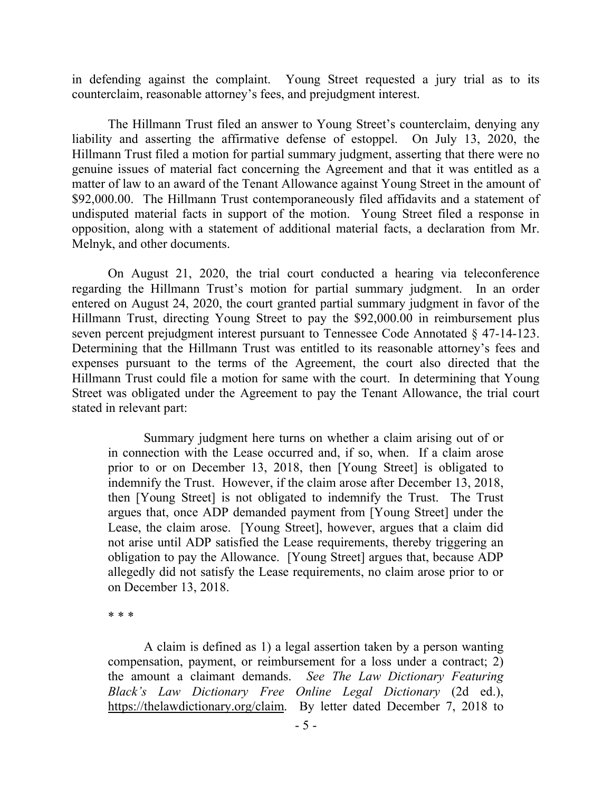in defending against the complaint. Young Street requested a jury trial as to its counterclaim, reasonable attorney's fees, and prejudgment interest.

The Hillmann Trust filed an answer to Young Street's counterclaim, denying any liability and asserting the affirmative defense of estoppel. On July 13, 2020, the Hillmann Trust filed a motion for partial summary judgment, asserting that there were no genuine issues of material fact concerning the Agreement and that it was entitled as a matter of law to an award of the Tenant Allowance against Young Street in the amount of \$92,000.00. The Hillmann Trust contemporaneously filed affidavits and a statement of undisputed material facts in support of the motion. Young Street filed a response in opposition, along with a statement of additional material facts, a declaration from Mr. Melnyk, and other documents.

On August 21, 2020, the trial court conducted a hearing via teleconference regarding the Hillmann Trust's motion for partial summary judgment. In an order entered on August 24, 2020, the court granted partial summary judgment in favor of the Hillmann Trust, directing Young Street to pay the \$92,000.00 in reimbursement plus seven percent prejudgment interest pursuant to Tennessee Code Annotated § 47-14-123. Determining that the Hillmann Trust was entitled to its reasonable attorney's fees and expenses pursuant to the terms of the Agreement, the court also directed that the Hillmann Trust could file a motion for same with the court. In determining that Young Street was obligated under the Agreement to pay the Tenant Allowance, the trial court stated in relevant part:

Summary judgment here turns on whether a claim arising out of or in connection with the Lease occurred and, if so, when. If a claim arose prior to or on December 13, 2018, then [Young Street] is obligated to indemnify the Trust. However, if the claim arose after December 13, 2018, then [Young Street] is not obligated to indemnify the Trust. The Trust argues that, once ADP demanded payment from [Young Street] under the Lease, the claim arose. [Young Street], however, argues that a claim did not arise until ADP satisfied the Lease requirements, thereby triggering an obligation to pay the Allowance. [Young Street] argues that, because ADP allegedly did not satisfy the Lease requirements, no claim arose prior to or on December 13, 2018.

\* \* \*

A claim is defined as 1) a legal assertion taken by a person wanting compensation, payment, or reimbursement for a loss under a contract; 2) the amount a claimant demands. *See The Law Dictionary Featuring Black's Law Dictionary Free Online Legal Dictionary* (2d ed.), https://thelawdictionary.org/claim. By letter dated December 7, 2018 to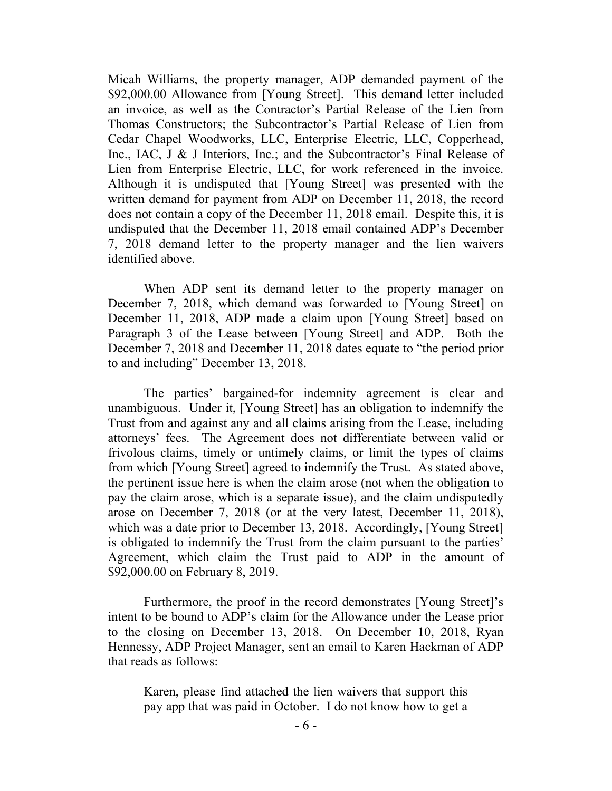Micah Williams, the property manager, ADP demanded payment of the \$92,000.00 Allowance from [Young Street]. This demand letter included an invoice, as well as the Contractor's Partial Release of the Lien from Thomas Constructors; the Subcontractor's Partial Release of Lien from Cedar Chapel Woodworks, LLC, Enterprise Electric, LLC, Copperhead, Inc., IAC, J & J Interiors, Inc.; and the Subcontractor's Final Release of Lien from Enterprise Electric, LLC, for work referenced in the invoice. Although it is undisputed that [Young Street] was presented with the written demand for payment from ADP on December 11, 2018, the record does not contain a copy of the December 11, 2018 email. Despite this, it is undisputed that the December 11, 2018 email contained ADP's December 7, 2018 demand letter to the property manager and the lien waivers identified above.

When ADP sent its demand letter to the property manager on December 7, 2018, which demand was forwarded to [Young Street] on December 11, 2018, ADP made a claim upon [Young Street] based on Paragraph 3 of the Lease between [Young Street] and ADP. Both the December 7, 2018 and December 11, 2018 dates equate to "the period prior to and including" December 13, 2018.

The parties' bargained-for indemnity agreement is clear and unambiguous. Under it, [Young Street] has an obligation to indemnify the Trust from and against any and all claims arising from the Lease, including attorneys' fees. The Agreement does not differentiate between valid or frivolous claims, timely or untimely claims, or limit the types of claims from which [Young Street] agreed to indemnify the Trust. As stated above, the pertinent issue here is when the claim arose (not when the obligation to pay the claim arose, which is a separate issue), and the claim undisputedly arose on December 7, 2018 (or at the very latest, December 11, 2018), which was a date prior to December 13, 2018. Accordingly, [Young Street] is obligated to indemnify the Trust from the claim pursuant to the parties' Agreement, which claim the Trust paid to ADP in the amount of \$92,000.00 on February 8, 2019.

Furthermore, the proof in the record demonstrates [Young Street]'s intent to be bound to ADP's claim for the Allowance under the Lease prior to the closing on December 13, 2018. On December 10, 2018, Ryan Hennessy, ADP Project Manager, sent an email to Karen Hackman of ADP that reads as follows:

Karen, please find attached the lien waivers that support this pay app that was paid in October. I do not know how to get a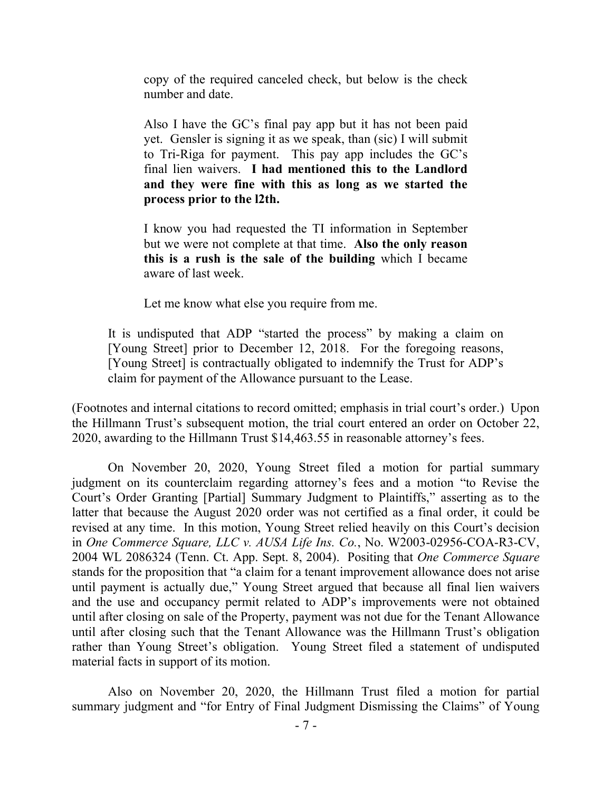copy of the required canceled check, but below is the check number and date.

Also I have the GC's final pay app but it has not been paid yet. Gensler is signing it as we speak, than (sic) I will submit to Tri-Riga for payment. This pay app includes the GC's final lien waivers. **I had mentioned this to the Landlord and they were fine with this as long as we started the process prior to the l2th.**

I know you had requested the TI information in September but we were not complete at that time. **Also the only reason this is a rush is the sale of the building** which I became aware of last week.

Let me know what else you require from me.

It is undisputed that ADP "started the process" by making a claim on [Young Street] prior to December 12, 2018. For the foregoing reasons, [Young Street] is contractually obligated to indemnify the Trust for ADP's claim for payment of the Allowance pursuant to the Lease.

(Footnotes and internal citations to record omitted; emphasis in trial court's order.) Upon the Hillmann Trust's subsequent motion, the trial court entered an order on October 22, 2020, awarding to the Hillmann Trust \$14,463.55 in reasonable attorney's fees.

On November 20, 2020, Young Street filed a motion for partial summary judgment on its counterclaim regarding attorney's fees and a motion "to Revise the Court's Order Granting [Partial] Summary Judgment to Plaintiffs," asserting as to the latter that because the August 2020 order was not certified as a final order, it could be revised at any time. In this motion, Young Street relied heavily on this Court's decision in *One Commerce Square, LLC v. AUSA Life Ins. Co.*, No. W2003-02956-COA-R3-CV, 2004 WL 2086324 (Tenn. Ct. App. Sept. 8, 2004). Positing that *One Commerce Square* stands for the proposition that "a claim for a tenant improvement allowance does not arise until payment is actually due," Young Street argued that because all final lien waivers and the use and occupancy permit related to ADP's improvements were not obtained until after closing on sale of the Property, payment was not due for the Tenant Allowance until after closing such that the Tenant Allowance was the Hillmann Trust's obligation rather than Young Street's obligation. Young Street filed a statement of undisputed material facts in support of its motion.

Also on November 20, 2020, the Hillmann Trust filed a motion for partial summary judgment and "for Entry of Final Judgment Dismissing the Claims" of Young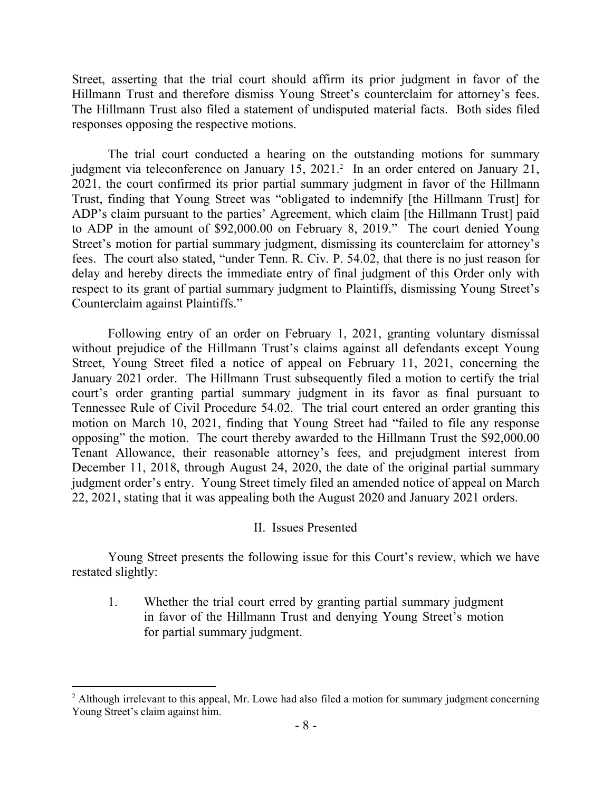Street, asserting that the trial court should affirm its prior judgment in favor of the Hillmann Trust and therefore dismiss Young Street's counterclaim for attorney's fees. The Hillmann Trust also filed a statement of undisputed material facts. Both sides filed responses opposing the respective motions.

The trial court conducted a hearing on the outstanding motions for summary judgment via teleconference on January 15, 2021.<sup>2</sup> In an order entered on January 21, 2021, the court confirmed its prior partial summary judgment in favor of the Hillmann Trust, finding that Young Street was "obligated to indemnify [the Hillmann Trust] for ADP's claim pursuant to the parties' Agreement, which claim [the Hillmann Trust] paid to ADP in the amount of \$92,000.00 on February 8, 2019." The court denied Young Street's motion for partial summary judgment, dismissing its counterclaim for attorney's fees. The court also stated, "under Tenn. R. Civ. P. 54.02, that there is no just reason for delay and hereby directs the immediate entry of final judgment of this Order only with respect to its grant of partial summary judgment to Plaintiffs, dismissing Young Street's Counterclaim against Plaintiffs."

Following entry of an order on February 1, 2021, granting voluntary dismissal without prejudice of the Hillmann Trust's claims against all defendants except Young Street, Young Street filed a notice of appeal on February 11, 2021, concerning the January 2021 order. The Hillmann Trust subsequently filed a motion to certify the trial court's order granting partial summary judgment in its favor as final pursuant to Tennessee Rule of Civil Procedure 54.02. The trial court entered an order granting this motion on March 10, 2021, finding that Young Street had "failed to file any response opposing" the motion. The court thereby awarded to the Hillmann Trust the \$92,000.00 Tenant Allowance, their reasonable attorney's fees, and prejudgment interest from December 11, 2018, through August 24, 2020, the date of the original partial summary judgment order's entry. Young Street timely filed an amended notice of appeal on March 22, 2021, stating that it was appealing both the August 2020 and January 2021 orders.

II. Issues Presented

Young Street presents the following issue for this Court's review, which we have restated slightly:

1. Whether the trial court erred by granting partial summary judgment in favor of the Hillmann Trust and denying Young Street's motion for partial summary judgment.

<sup>&</sup>lt;sup>2</sup> Although irrelevant to this appeal, Mr. Lowe had also filed a motion for summary judgment concerning Young Street's claim against him.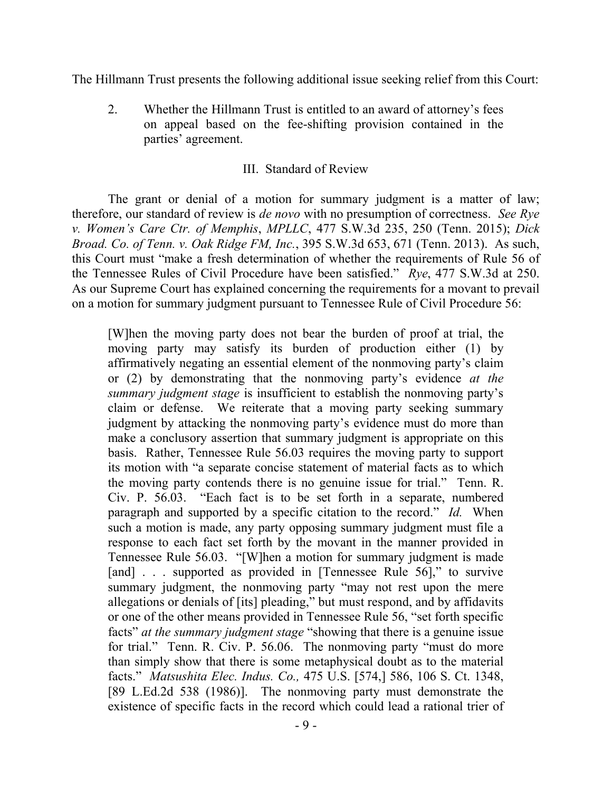The Hillmann Trust presents the following additional issue seeking relief from this Court:

2. Whether the Hillmann Trust is entitled to an award of attorney's fees on appeal based on the fee-shifting provision contained in the parties' agreement.

## III. Standard of Review

The grant or denial of a motion for summary judgment is a matter of law; therefore, our standard of review is *de novo* with no presumption of correctness. *See Rye v. Women's Care Ctr. of Memphis*, *MPLLC*, 477 S.W.3d 235, 250 (Tenn. 2015); *Dick Broad. Co. of Tenn. v. Oak Ridge FM, Inc.*, 395 S.W.3d 653, 671 (Tenn. 2013). As such, this Court must "make a fresh determination of whether the requirements of Rule 56 of the Tennessee Rules of Civil Procedure have been satisfied." *Rye*, 477 S.W.3d at 250. As our Supreme Court has explained concerning the requirements for a movant to prevail on a motion for summary judgment pursuant to Tennessee Rule of Civil Procedure 56:

[W]hen the moving party does not bear the burden of proof at trial, the moving party may satisfy its burden of production either (1) by affirmatively negating an essential element of the nonmoving party's claim or (2) by demonstrating that the nonmoving party's evidence *at the summary judgment stage* is insufficient to establish the nonmoving party's claim or defense. We reiterate that a moving party seeking summary judgment by attacking the nonmoving party's evidence must do more than make a conclusory assertion that summary judgment is appropriate on this basis. Rather, Tennessee Rule 56.03 requires the moving party to support its motion with "a separate concise statement of material facts as to which the moving party contends there is no genuine issue for trial." Tenn. R. Civ. P. 56.03. "Each fact is to be set forth in a separate, numbered paragraph and supported by a specific citation to the record." *Id.* When such a motion is made, any party opposing summary judgment must file a response to each fact set forth by the movant in the manner provided in Tennessee Rule 56.03. "[W]hen a motion for summary judgment is made [and] . . . supported as provided in [Tennessee Rule 56]," to survive summary judgment, the nonmoving party "may not rest upon the mere allegations or denials of [its] pleading," but must respond, and by affidavits or one of the other means provided in Tennessee Rule 56, "set forth specific facts" *at the summary judgment stage* "showing that there is a genuine issue for trial." Tenn. R. Civ. P. 56.06. The nonmoving party "must do more than simply show that there is some metaphysical doubt as to the material facts." *Matsushita Elec. Indus. Co.,* 475 U.S. [574,] 586, 106 S. Ct. 1348, [89 L.Ed.2d 538 (1986)]. The nonmoving party must demonstrate the existence of specific facts in the record which could lead a rational trier of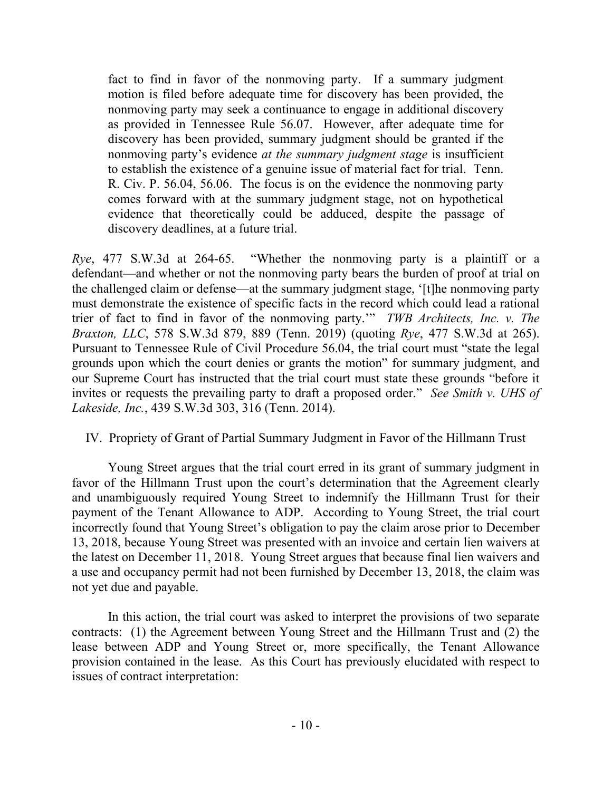fact to find in favor of the nonmoving party. If a summary judgment motion is filed before adequate time for discovery has been provided, the nonmoving party may seek a continuance to engage in additional discovery as provided in Tennessee Rule 56.07. However, after adequate time for discovery has been provided, summary judgment should be granted if the nonmoving party's evidence *at the summary judgment stage* is insufficient to establish the existence of a genuine issue of material fact for trial. Tenn. R. Civ. P. 56.04, 56.06. The focus is on the evidence the nonmoving party comes forward with at the summary judgment stage, not on hypothetical evidence that theoretically could be adduced, despite the passage of discovery deadlines, at a future trial.

*Rye*, 477 S.W.3d at 264-65. "Whether the nonmoving party is a plaintiff or a defendant—and whether or not the nonmoving party bears the burden of proof at trial on the challenged claim or defense—at the summary judgment stage, '[t]he nonmoving party must demonstrate the existence of specific facts in the record which could lead a rational trier of fact to find in favor of the nonmoving party.'" *TWB Architects, Inc. v. The Braxton, LLC*, 578 S.W.3d 879, 889 (Tenn. 2019) (quoting *Rye*, 477 S.W.3d at 265). Pursuant to Tennessee Rule of Civil Procedure 56.04, the trial court must "state the legal grounds upon which the court denies or grants the motion" for summary judgment, and our Supreme Court has instructed that the trial court must state these grounds "before it invites or requests the prevailing party to draft a proposed order." *See Smith v. UHS of Lakeside, Inc.*, 439 S.W.3d 303, 316 (Tenn. 2014).

### IV. Propriety of Grant of Partial Summary Judgment in Favor of the Hillmann Trust

Young Street argues that the trial court erred in its grant of summary judgment in favor of the Hillmann Trust upon the court's determination that the Agreement clearly and unambiguously required Young Street to indemnify the Hillmann Trust for their payment of the Tenant Allowance to ADP. According to Young Street, the trial court incorrectly found that Young Street's obligation to pay the claim arose prior to December 13, 2018, because Young Street was presented with an invoice and certain lien waivers at the latest on December 11, 2018. Young Street argues that because final lien waivers and a use and occupancy permit had not been furnished by December 13, 2018, the claim was not yet due and payable.

In this action, the trial court was asked to interpret the provisions of two separate contracts: (1) the Agreement between Young Street and the Hillmann Trust and (2) the lease between ADP and Young Street or, more specifically, the Tenant Allowance provision contained in the lease. As this Court has previously elucidated with respect to issues of contract interpretation: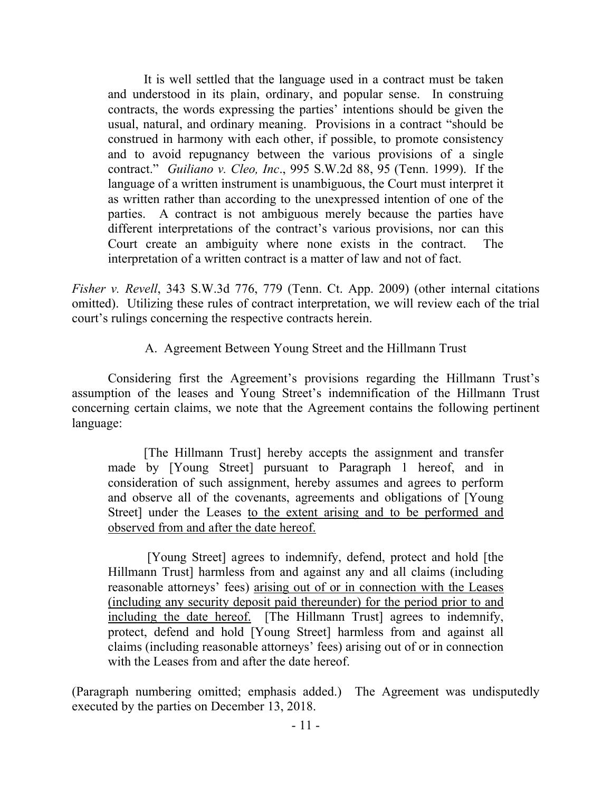It is well settled that the language used in a contract must be taken and understood in its plain, ordinary, and popular sense. In construing contracts, the words expressing the parties' intentions should be given the usual, natural, and ordinary meaning. Provisions in a contract "should be construed in harmony with each other, if possible, to promote consistency and to avoid repugnancy between the various provisions of a single contract." *Guiliano v. Cleo, Inc*., 995 S.W.2d 88, 95 (Tenn. 1999). If the language of a written instrument is unambiguous, the Court must interpret it as written rather than according to the unexpressed intention of one of the parties. A contract is not ambiguous merely because the parties have different interpretations of the contract's various provisions, nor can this Court create an ambiguity where none exists in the contract. The interpretation of a written contract is a matter of law and not of fact.

*Fisher v. Revell*, 343 S.W.3d 776, 779 (Tenn. Ct. App. 2009) (other internal citations omitted). Utilizing these rules of contract interpretation, we will review each of the trial court's rulings concerning the respective contracts herein.

A. Agreement Between Young Street and the Hillmann Trust

Considering first the Agreement's provisions regarding the Hillmann Trust's assumption of the leases and Young Street's indemnification of the Hillmann Trust concerning certain claims, we note that the Agreement contains the following pertinent language:

[The Hillmann Trust] hereby accepts the assignment and transfer made by [Young Street] pursuant to Paragraph 1 hereof, and in consideration of such assignment, hereby assumes and agrees to perform and observe all of the covenants, agreements and obligations of [Young Street] under the Leases to the extent arising and to be performed and observed from and after the date hereof.

[Young Street] agrees to indemnify, defend, protect and hold [the Hillmann Trust] harmless from and against any and all claims (including reasonable attorneys' fees) arising out of or in connection with the Leases (including any security deposit paid thereunder) for the period prior to and including the date hereof. [The Hillmann Trust] agrees to indemnify, protect, defend and hold [Young Street] harmless from and against all claims (including reasonable attorneys' fees) arising out of or in connection with the Leases from and after the date hereof.

(Paragraph numbering omitted; emphasis added.) The Agreement was undisputedly executed by the parties on December 13, 2018.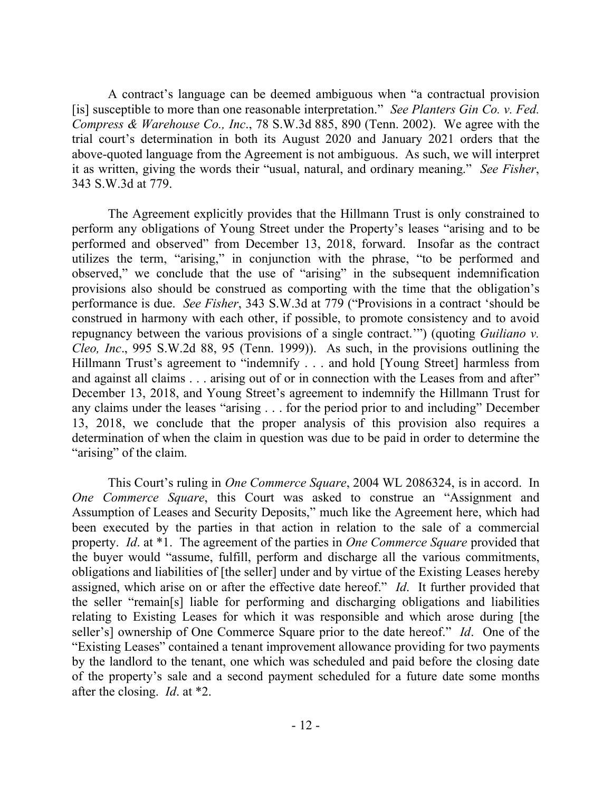A contract's language can be deemed ambiguous when "a contractual provision [is] susceptible to more than one reasonable interpretation." *See Planters Gin Co. v. Fed. Compress & Warehouse Co., Inc*., 78 S.W.3d 885, 890 (Tenn. 2002). We agree with the trial court's determination in both its August 2020 and January 2021 orders that the above-quoted language from the Agreement is not ambiguous. As such, we will interpret it as written, giving the words their "usual, natural, and ordinary meaning." *See Fisher*, 343 S.W.3d at 779.

The Agreement explicitly provides that the Hillmann Trust is only constrained to perform any obligations of Young Street under the Property's leases "arising and to be performed and observed" from December 13, 2018, forward. Insofar as the contract utilizes the term, "arising," in conjunction with the phrase, "to be performed and observed," we conclude that the use of "arising" in the subsequent indemnification provisions also should be construed as comporting with the time that the obligation's performance is due. *See Fisher*, 343 S.W.3d at 779 ("Provisions in a contract 'should be construed in harmony with each other, if possible, to promote consistency and to avoid repugnancy between the various provisions of a single contract.'") (quoting *Guiliano v. Cleo, Inc*., 995 S.W.2d 88, 95 (Tenn. 1999)). As such, in the provisions outlining the Hillmann Trust's agreement to "indemnify . . . and hold [Young Street] harmless from and against all claims . . . arising out of or in connection with the Leases from and after" December 13, 2018, and Young Street's agreement to indemnify the Hillmann Trust for any claims under the leases "arising . . . for the period prior to and including" December 13, 2018, we conclude that the proper analysis of this provision also requires a determination of when the claim in question was due to be paid in order to determine the "arising" of the claim.

This Court's ruling in *One Commerce Square*, 2004 WL 2086324, is in accord. In *One Commerce Square*, this Court was asked to construe an "Assignment and Assumption of Leases and Security Deposits," much like the Agreement here, which had been executed by the parties in that action in relation to the sale of a commercial property. *Id*. at \*1. The agreement of the parties in *One Commerce Square* provided that the buyer would "assume, fulfill, perform and discharge all the various commitments, obligations and liabilities of [the seller] under and by virtue of the Existing Leases hereby assigned, which arise on or after the effective date hereof." *Id*. It further provided that the seller "remain[s] liable for performing and discharging obligations and liabilities relating to Existing Leases for which it was responsible and which arose during [the seller's] ownership of One Commerce Square prior to the date hereof." *Id*. One of the "Existing Leases" contained a tenant improvement allowance providing for two payments by the landlord to the tenant, one which was scheduled and paid before the closing date of the property's sale and a second payment scheduled for a future date some months after the closing. *Id*. at \*2.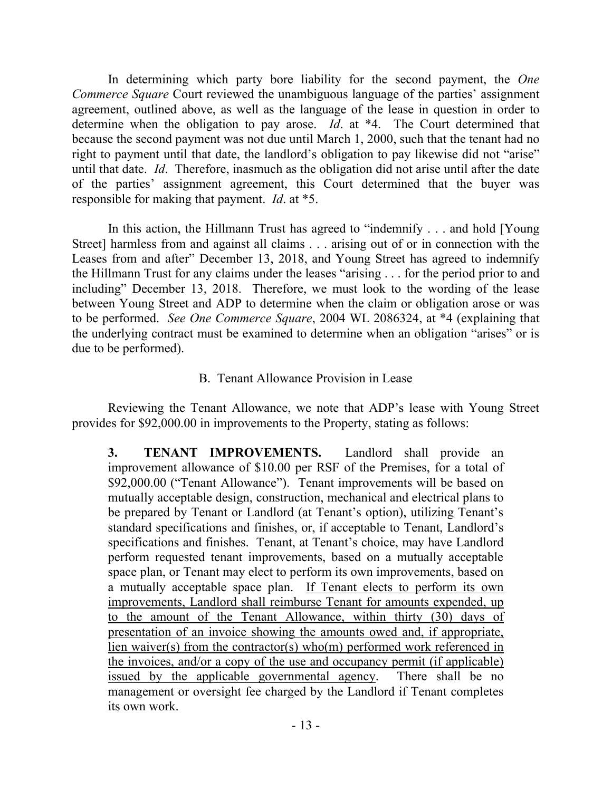In determining which party bore liability for the second payment, the *One Commerce Square* Court reviewed the unambiguous language of the parties' assignment agreement, outlined above, as well as the language of the lease in question in order to determine when the obligation to pay arose. *Id*. at \*4. The Court determined that because the second payment was not due until March 1, 2000, such that the tenant had no right to payment until that date, the landlord's obligation to pay likewise did not "arise" until that date. *Id*. Therefore, inasmuch as the obligation did not arise until after the date of the parties' assignment agreement, this Court determined that the buyer was responsible for making that payment. *Id*. at \*5.

In this action, the Hillmann Trust has agreed to "indemnify . . . and hold [Young Street] harmless from and against all claims . . . arising out of or in connection with the Leases from and after" December 13, 2018, and Young Street has agreed to indemnify the Hillmann Trust for any claims under the leases "arising . . . for the period prior to and including" December 13, 2018. Therefore, we must look to the wording of the lease between Young Street and ADP to determine when the claim or obligation arose or was to be performed. *See One Commerce Square*, 2004 WL 2086324, at \*4 (explaining that the underlying contract must be examined to determine when an obligation "arises" or is due to be performed).

## B. Tenant Allowance Provision in Lease

Reviewing the Tenant Allowance, we note that ADP's lease with Young Street provides for \$92,000.00 in improvements to the Property, stating as follows:

**3. TENANT IMPROVEMENTS.** Landlord shall provide an improvement allowance of \$10.00 per RSF of the Premises, for a total of \$92,000.00 ("Tenant Allowance"). Tenant improvements will be based on mutually acceptable design, construction, mechanical and electrical plans to be prepared by Tenant or Landlord (at Tenant's option), utilizing Tenant's standard specifications and finishes, or, if acceptable to Tenant, Landlord's specifications and finishes. Tenant, at Tenant's choice, may have Landlord perform requested tenant improvements, based on a mutually acceptable space plan, or Tenant may elect to perform its own improvements, based on a mutually acceptable space plan. If Tenant elects to perform its own improvements, Landlord shall reimburse Tenant for amounts expended, up to the amount of the Tenant Allowance, within thirty (30) days of presentation of an invoice showing the amounts owed and, if appropriate, lien waiver(s) from the contractor(s) who(m) performed work referenced in the invoices, and/or a copy of the use and occupancy permit (if applicable) issued by the applicable governmental agency. There shall be no management or oversight fee charged by the Landlord if Tenant completes its own work.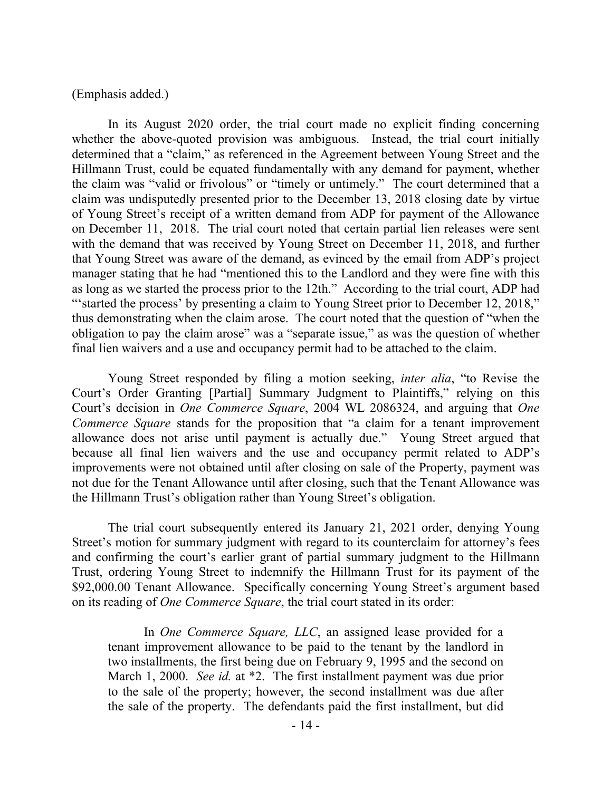#### (Emphasis added.)

In its August 2020 order, the trial court made no explicit finding concerning whether the above-quoted provision was ambiguous. Instead, the trial court initially determined that a "claim," as referenced in the Agreement between Young Street and the Hillmann Trust, could be equated fundamentally with any demand for payment, whether the claim was "valid or frivolous" or "timely or untimely." The court determined that a claim was undisputedly presented prior to the December 13, 2018 closing date by virtue of Young Street's receipt of a written demand from ADP for payment of the Allowance on December 11, 2018. The trial court noted that certain partial lien releases were sent with the demand that was received by Young Street on December 11, 2018, and further that Young Street was aware of the demand, as evinced by the email from ADP's project manager stating that he had "mentioned this to the Landlord and they were fine with this as long as we started the process prior to the 12th." According to the trial court, ADP had "'started the process' by presenting a claim to Young Street prior to December 12, 2018," thus demonstrating when the claim arose. The court noted that the question of "when the obligation to pay the claim arose" was a "separate issue," as was the question of whether final lien waivers and a use and occupancy permit had to be attached to the claim.

Young Street responded by filing a motion seeking, *inter alia*, "to Revise the Court's Order Granting [Partial] Summary Judgment to Plaintiffs," relying on this Court's decision in *One Commerce Square*, 2004 WL 2086324, and arguing that *One Commerce Square* stands for the proposition that "a claim for a tenant improvement allowance does not arise until payment is actually due." Young Street argued that because all final lien waivers and the use and occupancy permit related to ADP's improvements were not obtained until after closing on sale of the Property, payment was not due for the Tenant Allowance until after closing, such that the Tenant Allowance was the Hillmann Trust's obligation rather than Young Street's obligation.

The trial court subsequently entered its January 21, 2021 order, denying Young Street's motion for summary judgment with regard to its counterclaim for attorney's fees and confirming the court's earlier grant of partial summary judgment to the Hillmann Trust, ordering Young Street to indemnify the Hillmann Trust for its payment of the \$92,000.00 Tenant Allowance. Specifically concerning Young Street's argument based on its reading of *One Commerce Square*, the trial court stated in its order:

In *One Commerce Square, LLC*, an assigned lease provided for a tenant improvement allowance to be paid to the tenant by the landlord in two installments, the first being due on February 9, 1995 and the second on March 1, 2000. *See id.* at \*2. The first installment payment was due prior to the sale of the property; however, the second installment was due after the sale of the property. The defendants paid the first installment, but did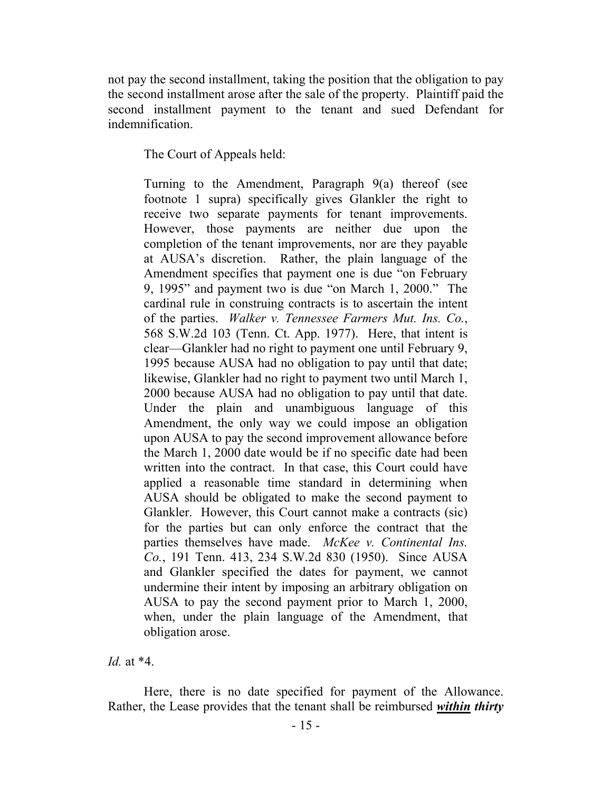not pay the second installment, taking the position that the obligation to pay the second installment arose after the sale of the property. Plaintiff paid the second installment payment to the tenant and sued Defendant for indemnification.

The Court of Appeals held:

Turning to the Amendment, Paragraph 9(a) thereof (see footnote 1 supra) specifically gives Glankler the right to receive two separate payments for tenant improvements. However, those payments are neither due upon the completion of the tenant improvements, nor are they payable at AUSA's discretion. Rather, the plain language of the Amendment specifies that payment one is due "on February 9, 1995" and payment two is due "on March 1, 2000." The cardinal rule in construing contracts is to ascertain the intent of the parties. *Walker v. Tennessee Farmers Mut. Ins. Co.*, 568 S.W.2d 103 (Tenn. Ct. App. 1977). Here, that intent is clear—Glankler had no right to payment one until February 9, 1995 because AUSA had no obligation to pay until that date; likewise, Glankler had no right to payment two until March 1, 2000 because AUSA had no obligation to pay until that date. Under the plain and unambiguous language of this Amendment, the only way we could impose an obligation upon AUSA to pay the second improvement allowance before the March 1, 2000 date would be if no specific date had been written into the contract. In that case, this Court could have applied a reasonable time standard in determining when AUSA should be obligated to make the second payment to Glankler. However, this Court cannot make a contracts (sic) for the parties but can only enforce the contract that the parties themselves have made. *McKee v. Continental Ins. Co.*, 191 Tenn. 413, 234 S.W.2d 830 (1950). Since AUSA and Glankler specified the dates for payment, we cannot undermine their intent by imposing an arbitrary obligation on AUSA to pay the second payment prior to March 1, 2000, when, under the plain language of the Amendment, that obligation arose.

*Id.* at \*4.

Here, there is no date specified for payment of the Allowance. Rather, the Lease provides that the tenant shall be reimbursed *within thirty*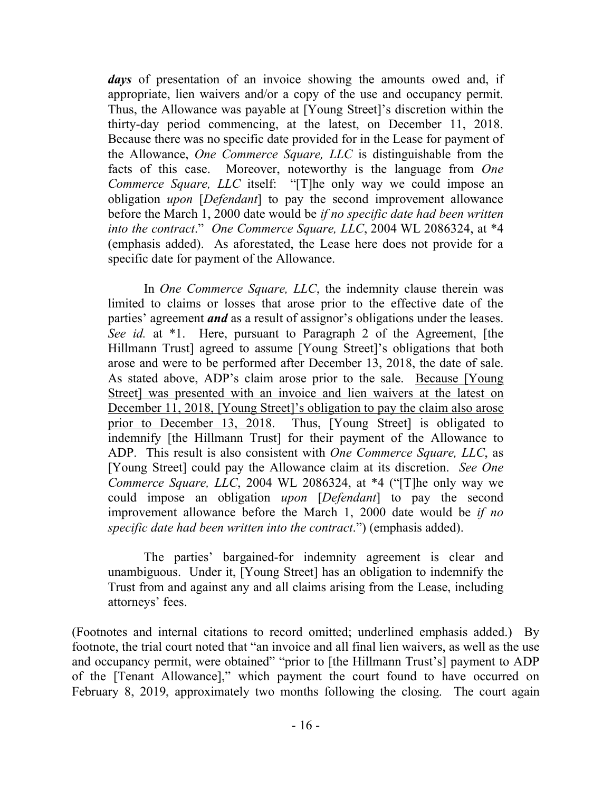*days* of presentation of an invoice showing the amounts owed and, if appropriate, lien waivers and/or a copy of the use and occupancy permit. Thus, the Allowance was payable at [Young Street]'s discretion within the thirty-day period commencing, at the latest, on December 11, 2018. Because there was no specific date provided for in the Lease for payment of the Allowance, *One Commerce Square, LLC* is distinguishable from the facts of this case. Moreover, noteworthy is the language from *One Commerce Square, LLC* itself: "[T]he only way we could impose an obligation *upon* [*Defendant*] to pay the second improvement allowance before the March 1, 2000 date would be *if no specific date had been written into the contract*." *One Commerce Square, LLC*, 2004 WL 2086324, at \*4 (emphasis added). As aforestated, the Lease here does not provide for a specific date for payment of the Allowance.

In *One Commerce Square, LLC*, the indemnity clause therein was limited to claims or losses that arose prior to the effective date of the parties' agreement *and* as a result of assignor's obligations under the leases. *See id.* at \*1. Here, pursuant to Paragraph 2 of the Agreement, [the Hillmann Trust] agreed to assume [Young Street]'s obligations that both arose and were to be performed after December 13, 2018, the date of sale. As stated above, ADP's claim arose prior to the sale. Because [Young Street] was presented with an invoice and lien waivers at the latest on December 11, 2018, [Young Street]'s obligation to pay the claim also arose prior to December 13, 2018. Thus, [Young Street] is obligated to indemnify [the Hillmann Trust] for their payment of the Allowance to ADP. This result is also consistent with *One Commerce Square, LLC*, as [Young Street] could pay the Allowance claim at its discretion. *See One Commerce Square, LLC*, 2004 WL 2086324, at \*4 ("[T]he only way we could impose an obligation *upon* [*Defendant*] to pay the second improvement allowance before the March 1, 2000 date would be *if no specific date had been written into the contract*.") (emphasis added).

The parties' bargained-for indemnity agreement is clear and unambiguous. Under it, [Young Street] has an obligation to indemnify the Trust from and against any and all claims arising from the Lease, including attorneys' fees.

(Footnotes and internal citations to record omitted; underlined emphasis added.) By footnote, the trial court noted that "an invoice and all final lien waivers, as well as the use and occupancy permit, were obtained" "prior to [the Hillmann Trust's] payment to ADP of the [Tenant Allowance]," which payment the court found to have occurred on February 8, 2019, approximately two months following the closing. The court again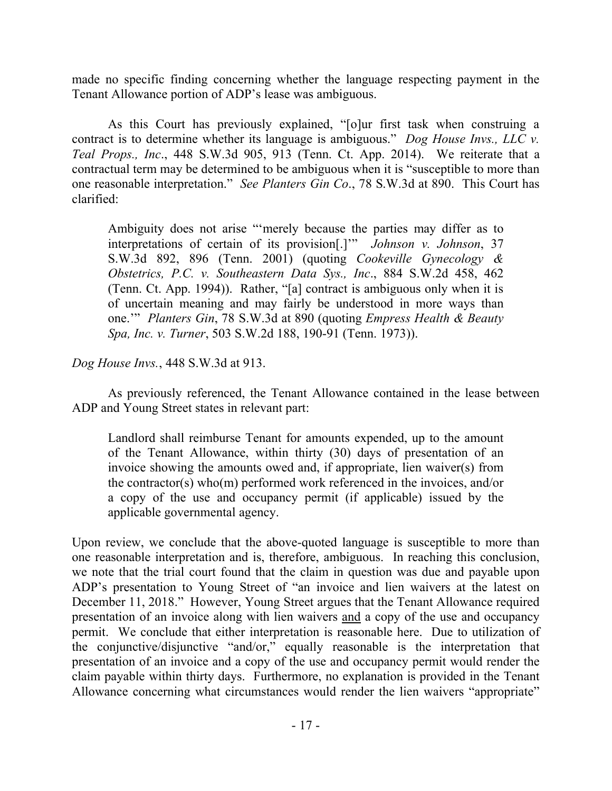made no specific finding concerning whether the language respecting payment in the Tenant Allowance portion of ADP's lease was ambiguous.

As this Court has previously explained, "[o]ur first task when construing a contract is to determine whether its language is ambiguous." *Dog House Invs., LLC v. Teal Props., Inc*., 448 S.W.3d 905, 913 (Tenn. Ct. App. 2014). We reiterate that a contractual term may be determined to be ambiguous when it is "susceptible to more than one reasonable interpretation." *See Planters Gin Co*., 78 S.W.3d at 890. This Court has clarified:

Ambiguity does not arise "'merely because the parties may differ as to interpretations of certain of its provision[.]'" *Johnson v. Johnson*, 37 S.W.3d 892, 896 (Tenn. 2001) (quoting *Cookeville Gynecology & Obstetrics, P.C. v. Southeastern Data Sys., Inc*., 884 S.W.2d 458, 462 (Tenn. Ct. App. 1994)). Rather, "[a] contract is ambiguous only when it is of uncertain meaning and may fairly be understood in more ways than one.'" *Planters Gin*, 78 S.W.3d at 890 (quoting *Empress Health & Beauty Spa, Inc. v. Turner*, 503 S.W.2d 188, 190-91 (Tenn. 1973)).

*Dog House Invs.*, 448 S.W.3d at 913.

As previously referenced, the Tenant Allowance contained in the lease between ADP and Young Street states in relevant part:

Landlord shall reimburse Tenant for amounts expended, up to the amount of the Tenant Allowance, within thirty (30) days of presentation of an invoice showing the amounts owed and, if appropriate, lien waiver(s) from the contractor(s) who(m) performed work referenced in the invoices, and/or a copy of the use and occupancy permit (if applicable) issued by the applicable governmental agency.

Upon review, we conclude that the above-quoted language is susceptible to more than one reasonable interpretation and is, therefore, ambiguous. In reaching this conclusion, we note that the trial court found that the claim in question was due and payable upon ADP's presentation to Young Street of "an invoice and lien waivers at the latest on December 11, 2018." However, Young Street argues that the Tenant Allowance required presentation of an invoice along with lien waivers and a copy of the use and occupancy permit. We conclude that either interpretation is reasonable here. Due to utilization of the conjunctive/disjunctive "and/or," equally reasonable is the interpretation that presentation of an invoice and a copy of the use and occupancy permit would render the claim payable within thirty days. Furthermore, no explanation is provided in the Tenant Allowance concerning what circumstances would render the lien waivers "appropriate"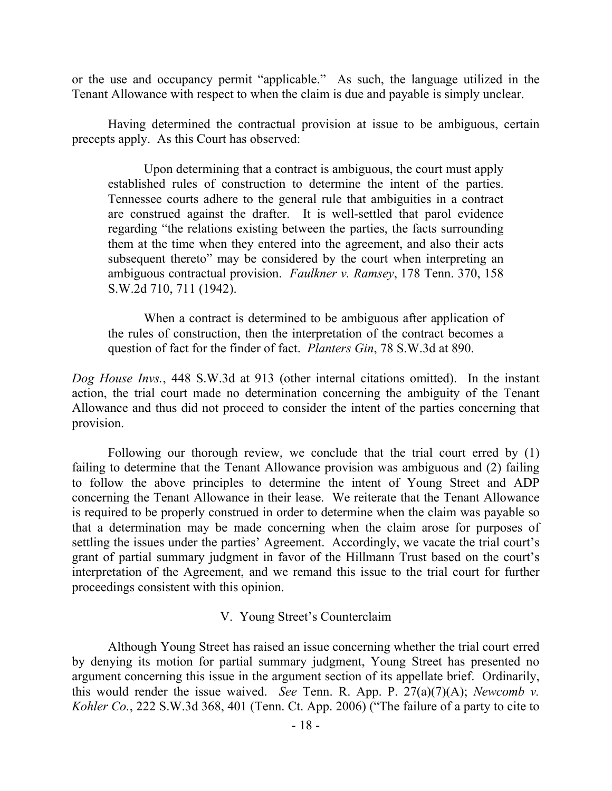or the use and occupancy permit "applicable." As such, the language utilized in the Tenant Allowance with respect to when the claim is due and payable is simply unclear.

Having determined the contractual provision at issue to be ambiguous, certain precepts apply. As this Court has observed:

Upon determining that a contract is ambiguous, the court must apply established rules of construction to determine the intent of the parties. Tennessee courts adhere to the general rule that ambiguities in a contract are construed against the drafter. It is well-settled that parol evidence regarding "the relations existing between the parties, the facts surrounding them at the time when they entered into the agreement, and also their acts subsequent thereto" may be considered by the court when interpreting an ambiguous contractual provision. *Faulkner v. Ramsey*, 178 Tenn. 370, 158 S.W.2d 710, 711 (1942).

When a contract is determined to be ambiguous after application of the rules of construction, then the interpretation of the contract becomes a question of fact for the finder of fact. *Planters Gin*, 78 S.W.3d at 890.

*Dog House Invs.*, 448 S.W.3d at 913 (other internal citations omitted). In the instant action, the trial court made no determination concerning the ambiguity of the Tenant Allowance and thus did not proceed to consider the intent of the parties concerning that provision.

Following our thorough review, we conclude that the trial court erred by (1) failing to determine that the Tenant Allowance provision was ambiguous and (2) failing to follow the above principles to determine the intent of Young Street and ADP concerning the Tenant Allowance in their lease. We reiterate that the Tenant Allowance is required to be properly construed in order to determine when the claim was payable so that a determination may be made concerning when the claim arose for purposes of settling the issues under the parties' Agreement. Accordingly, we vacate the trial court's grant of partial summary judgment in favor of the Hillmann Trust based on the court's interpretation of the Agreement, and we remand this issue to the trial court for further proceedings consistent with this opinion.

### V. Young Street's Counterclaim

Although Young Street has raised an issue concerning whether the trial court erred by denying its motion for partial summary judgment, Young Street has presented no argument concerning this issue in the argument section of its appellate brief. Ordinarily, this would render the issue waived. *See* Tenn. R. App. P. 27(a)(7)(A); *Newcomb v. Kohler Co.*, 222 S.W.3d 368, 401 (Tenn. Ct. App. 2006) ("The failure of a party to cite to